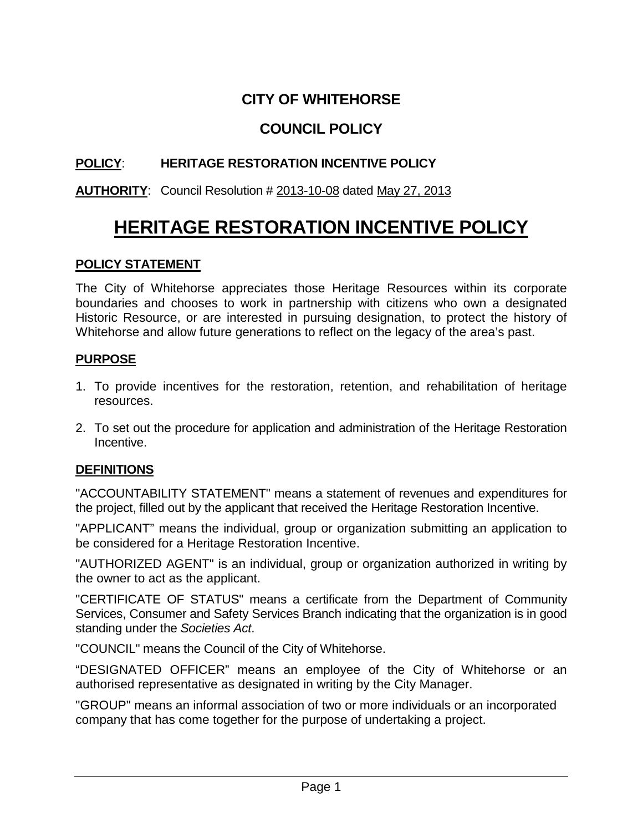# **CITY OF WHITEHORSE**

## **COUNCIL POLICY**

## **POLICY**: **HERITAGE RESTORATION INCENTIVE POLICY**

## **AUTHORITY**: Council Resolution # 2013-10-08 dated May 27, 2013

# **HERITAGE RESTORATION INCENTIVE POLICY**

## **POLICY STATEMENT**

The City of Whitehorse appreciates those Heritage Resources within its corporate boundaries and chooses to work in partnership with citizens who own a designated Historic Resource, or are interested in pursuing designation, to protect the history of Whitehorse and allow future generations to reflect on the legacy of the area's past.

### **PURPOSE**

- 1. To provide incentives for the restoration, retention, and rehabilitation of heritage resources.
- 2. To set out the procedure for application and administration of the Heritage Restoration Incentive.

#### **DEFINITIONS**

"ACCOUNTABILITY STATEMENT" means a statement of revenues and expenditures for the project, filled out by the applicant that received the Heritage Restoration Incentive.

"APPLICANT" means the individual, group or organization submitting an application to be considered for a Heritage Restoration Incentive.

"AUTHORIZED AGENT" is an individual, group or organization authorized in writing by the owner to act as the applicant.

"CERTIFICATE OF STATUS" means a certificate from the Department of Community Services, Consumer and Safety Services Branch indicating that the organization is in good standing under the *Societies Act*.

"COUNCIL" means the Council of the City of Whitehorse.

"DESIGNATED OFFICER" means an employee of the City of Whitehorse or an authorised representative as designated in writing by the City Manager.

"GROUP" means an informal association of two or more individuals or an incorporated company that has come together for the purpose of undertaking a project.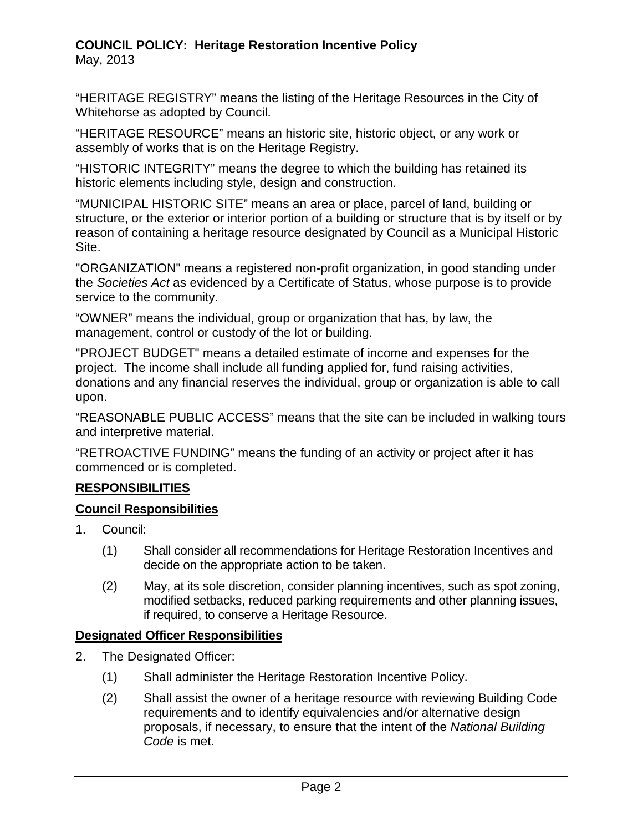"HERITAGE REGISTRY" means the listing of the Heritage Resources in the City of Whitehorse as adopted by Council.

"HERITAGE RESOURCE" means an historic site, historic object, or any work or assembly of works that is on the Heritage Registry.

"HISTORIC INTEGRITY" means the degree to which the building has retained its historic elements including style, design and construction.

"MUNICIPAL HISTORIC SITE" means an area or place, parcel of land, building or structure, or the exterior or interior portion of a building or structure that is by itself or by reason of containing a heritage resource designated by Council as a Municipal Historic Site.

"ORGANIZATION" means a registered non-profit organization, in good standing under the *Societies Act* as evidenced by a Certificate of Status, whose purpose is to provide service to the community.

"OWNER" means the individual, group or organization that has, by law, the management, control or custody of the lot or building.

"PROJECT BUDGET" means a detailed estimate of income and expenses for the project. The income shall include all funding applied for, fund raising activities, donations and any financial reserves the individual, group or organization is able to call upon.

"REASONABLE PUBLIC ACCESS" means that the site can be included in walking tours and interpretive material.

"RETROACTIVE FUNDING" means the funding of an activity or project after it has commenced or is completed.

## **RESPONSIBILITIES**

## **Council Responsibilities**

- 1. Council:
	- (1) Shall consider all recommendations for Heritage Restoration Incentives and decide on the appropriate action to be taken.
	- (2) May, at its sole discretion, consider planning incentives, such as spot zoning, modified setbacks, reduced parking requirements and other planning issues, if required, to conserve a Heritage Resource.

## **Designated Officer Responsibilities**

- 2. The Designated Officer:
	- (1) Shall administer the Heritage Restoration Incentive Policy.
	- (2) Shall assist the owner of a heritage resource with reviewing Building Code requirements and to identify equivalencies and/or alternative design proposals, if necessary, to ensure that the intent of the *National Building Code* is met.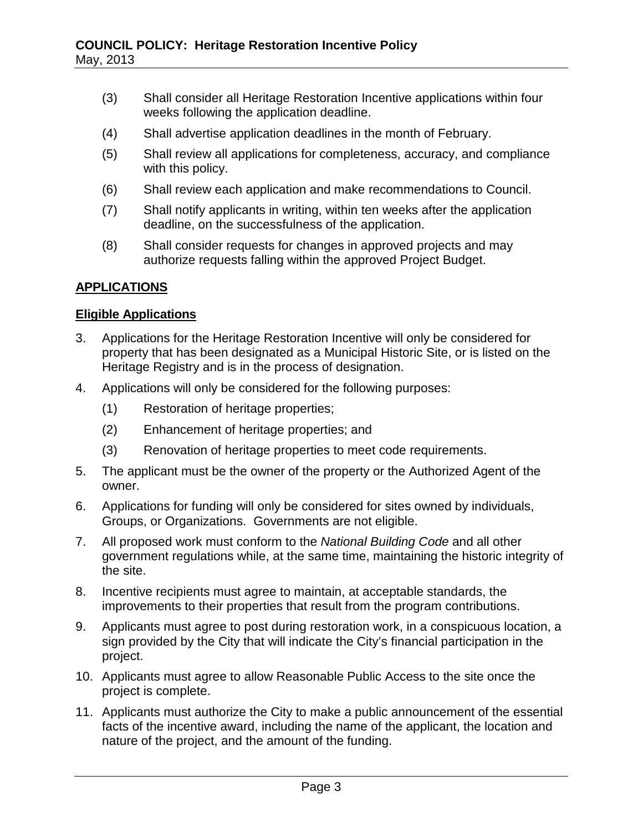- (3) Shall consider all Heritage Restoration Incentive applications within four weeks following the application deadline.
- (4) Shall advertise application deadlines in the month of February.
- (5) Shall review all applications for completeness, accuracy, and compliance with this policy.
- (6) Shall review each application and make recommendations to Council.
- (7) Shall notify applicants in writing, within ten weeks after the application deadline, on the successfulness of the application.
- (8) Shall consider requests for changes in approved projects and may authorize requests falling within the approved Project Budget.

### **APPLICATIONS**

#### **Eligible Applications**

- 3. Applications for the Heritage Restoration Incentive will only be considered for property that has been designated as a Municipal Historic Site, or is listed on the Heritage Registry and is in the process of designation.
- 4. Applications will only be considered for the following purposes:
	- (1) Restoration of heritage properties;
	- (2) Enhancement of heritage properties; and
	- (3) Renovation of heritage properties to meet code requirements.
- 5. The applicant must be the owner of the property or the Authorized Agent of the owner.
- 6. Applications for funding will only be considered for sites owned by individuals, Groups, or Organizations. Governments are not eligible.
- 7. All proposed work must conform to the *National Building Code* and all other government regulations while, at the same time, maintaining the historic integrity of the site.
- 8. Incentive recipients must agree to maintain, at acceptable standards, the improvements to their properties that result from the program contributions.
- 9. Applicants must agree to post during restoration work, in a conspicuous location, a sign provided by the City that will indicate the City's financial participation in the project.
- 10. Applicants must agree to allow Reasonable Public Access to the site once the project is complete.
- 11. Applicants must authorize the City to make a public announcement of the essential facts of the incentive award, including the name of the applicant, the location and nature of the project, and the amount of the funding.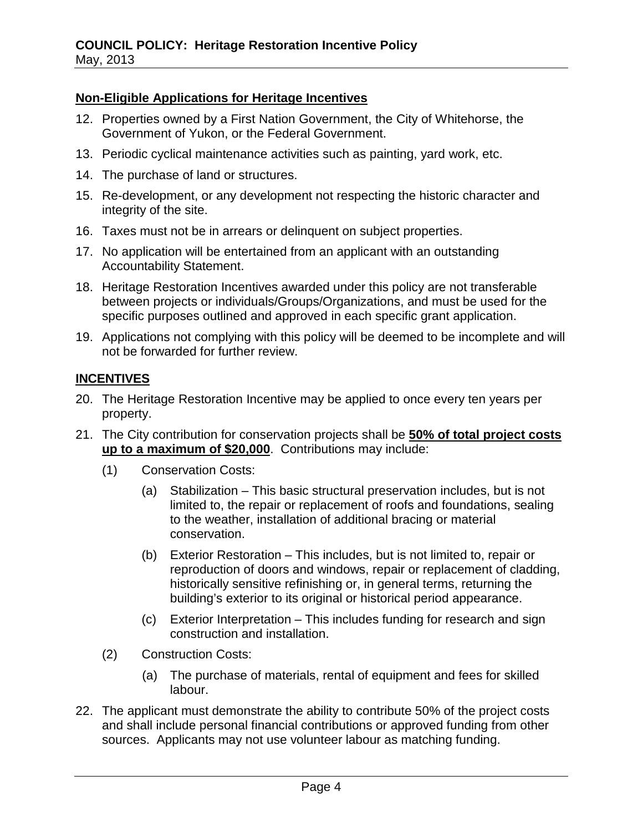## **Non-Eligible Applications for Heritage Incentives**

- 12. Properties owned by a First Nation Government, the City of Whitehorse, the Government of Yukon, or the Federal Government.
- 13. Periodic cyclical maintenance activities such as painting, yard work, etc.
- 14. The purchase of land or structures.
- 15. Re-development, or any development not respecting the historic character and integrity of the site.
- 16. Taxes must not be in arrears or delinquent on subject properties.
- 17. No application will be entertained from an applicant with an outstanding Accountability Statement.
- 18. Heritage Restoration Incentives awarded under this policy are not transferable between projects or individuals/Groups/Organizations, and must be used for the specific purposes outlined and approved in each specific grant application.
- 19. Applications not complying with this policy will be deemed to be incomplete and will not be forwarded for further review.

### **INCENTIVES**

- 20. The Heritage Restoration Incentive may be applied to once every ten years per property.
- 21. The City contribution for conservation projects shall be **50% of total project costs up to a maximum of \$20,000**. Contributions may include:
	- (1) Conservation Costs:
		- (a) Stabilization This basic structural preservation includes, but is not limited to, the repair or replacement of roofs and foundations, sealing to the weather, installation of additional bracing or material conservation.
		- (b) Exterior Restoration This includes, but is not limited to, repair or reproduction of doors and windows, repair or replacement of cladding, historically sensitive refinishing or, in general terms, returning the building's exterior to its original or historical period appearance.
		- (c) Exterior Interpretation This includes funding for research and sign construction and installation.
	- (2) Construction Costs:
		- (a) The purchase of materials, rental of equipment and fees for skilled labour.
- 22. The applicant must demonstrate the ability to contribute 50% of the project costs and shall include personal financial contributions or approved funding from other sources. Applicants may not use volunteer labour as matching funding.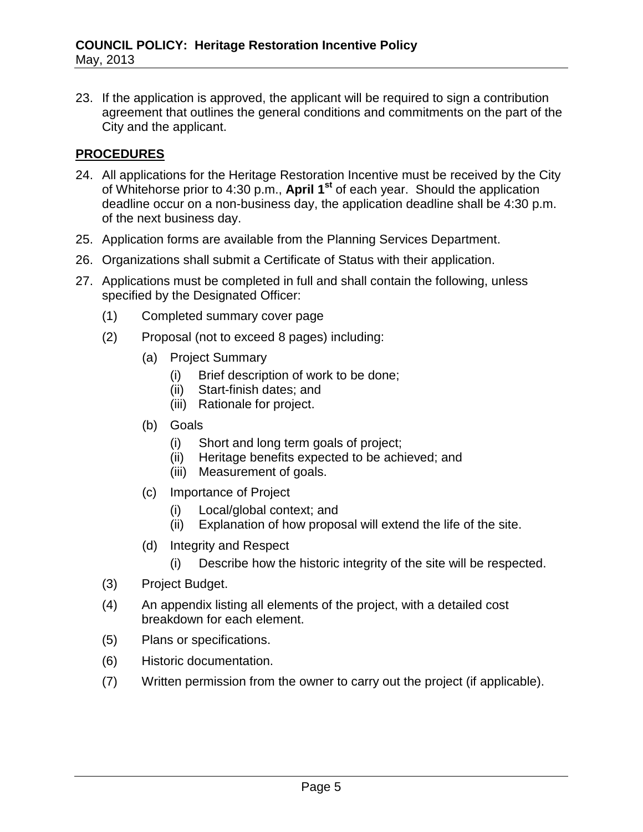23. If the application is approved, the applicant will be required to sign a contribution agreement that outlines the general conditions and commitments on the part of the City and the applicant.

## **PROCEDURES**

- 24. All applications for the Heritage Restoration Incentive must be received by the City of Whitehorse prior to 4:30 p.m., **April 1st** of each year. Should the application deadline occur on a non-business day, the application deadline shall be 4:30 p.m. of the next business day.
- 25. Application forms are available from the Planning Services Department.
- 26. Organizations shall submit a Certificate of Status with their application.
- 27. Applications must be completed in full and shall contain the following, unless specified by the Designated Officer:
	- (1) Completed summary cover page
	- (2) Proposal (not to exceed 8 pages) including:
		- (a) Project Summary
			- (i) Brief description of work to be done;
			- (ii) Start-finish dates; and
			- (iii) Rationale for project.
		- (b) Goals
			- (i) Short and long term goals of project;
			- (ii) Heritage benefits expected to be achieved; and
			- (iii) Measurement of goals.
		- (c) Importance of Project
			- (i) Local/global context; and
			- (ii) Explanation of how proposal will extend the life of the site.
		- (d) Integrity and Respect
			- (i) Describe how the historic integrity of the site will be respected.
	- (3) Project Budget.
	- (4) An appendix listing all elements of the project, with a detailed cost breakdown for each element.
	- (5) Plans or specifications.
	- (6) Historic documentation.
	- (7) Written permission from the owner to carry out the project (if applicable).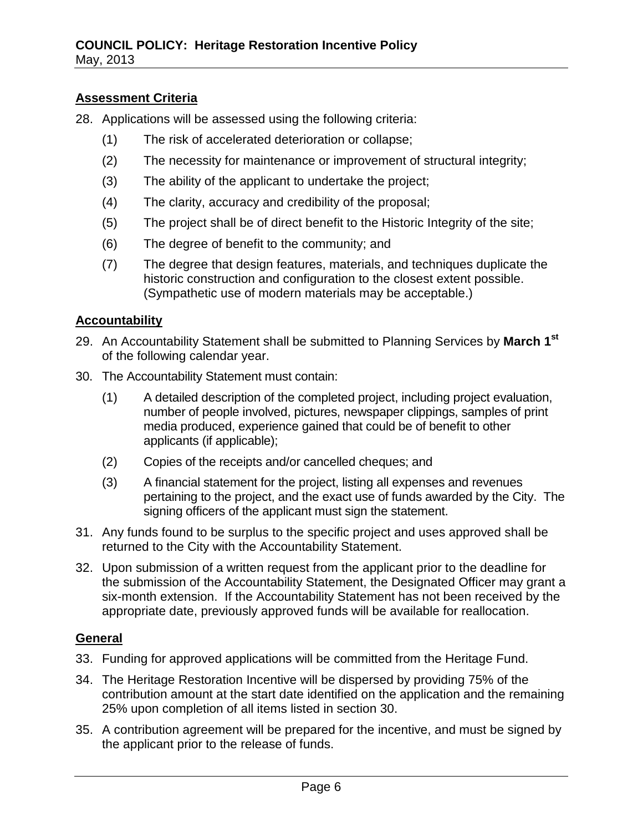## **Assessment Criteria**

- 28. Applications will be assessed using the following criteria:
	- (1) The risk of accelerated deterioration or collapse;
	- (2) The necessity for maintenance or improvement of structural integrity;
	- (3) The ability of the applicant to undertake the project;
	- (4) The clarity, accuracy and credibility of the proposal;
	- (5) The project shall be of direct benefit to the Historic Integrity of the site;
	- (6) The degree of benefit to the community; and
	- (7) The degree that design features, materials, and techniques duplicate the historic construction and configuration to the closest extent possible. (Sympathetic use of modern materials may be acceptable.)

### **Accountability**

- 29. An Accountability Statement shall be submitted to Planning Services by **March 1st** of the following calendar year.
- 30. The Accountability Statement must contain:
	- (1) A detailed description of the completed project, including project evaluation, number of people involved, pictures, newspaper clippings, samples of print media produced, experience gained that could be of benefit to other applicants (if applicable);
	- (2) Copies of the receipts and/or cancelled cheques; and
	- (3) A financial statement for the project, listing all expenses and revenues pertaining to the project, and the exact use of funds awarded by the City. The signing officers of the applicant must sign the statement.
- 31. Any funds found to be surplus to the specific project and uses approved shall be returned to the City with the Accountability Statement.
- 32. Upon submission of a written request from the applicant prior to the deadline for the submission of the Accountability Statement, the Designated Officer may grant a six-month extension. If the Accountability Statement has not been received by the appropriate date, previously approved funds will be available for reallocation.

#### **General**

- 33. Funding for approved applications will be committed from the Heritage Fund.
- 34. The Heritage Restoration Incentive will be dispersed by providing 75% of the contribution amount at the start date identified on the application and the remaining 25% upon completion of all items listed in section 30.
- 35. A contribution agreement will be prepared for the incentive, and must be signed by the applicant prior to the release of funds.